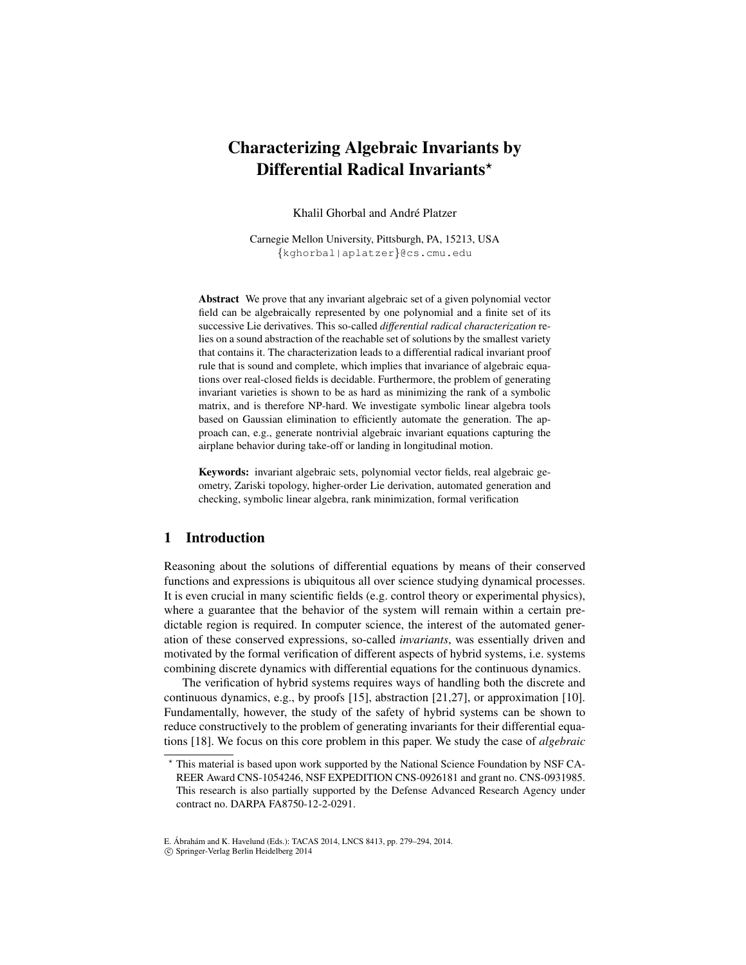# Characterizing Algebraic Invariants by Differential Radical Invariants\*

Khalil Ghorbal and André Platzer

Carnegie Mellon University, Pittsburgh, PA, 15213, USA {kghorbal|aplatzer}@cs.cmu.edu

Abstract We prove that any invariant algebraic set of a given polynomial vector field can be algebraically represented by one polynomial and a finite set of its successive Lie derivatives. This so-called *differential radical characterization* relies on a sound abstraction of the reachable set of solutions by the smallest variety that contains it. The characterization leads to a differential radical invariant proof rule that is sound and complete, which implies that invariance of algebraic equations over real-closed fields is decidable. Furthermore, the problem of generating invariant varieties is shown to be as hard as minimizing the rank of a symbolic matrix, and is therefore NP-hard. We investigate symbolic linear algebra tools based on Gaussian elimination to efficiently automate the generation. The approach can, e.g., generate nontrivial algebraic invariant equations capturing the airplane behavior during take-off or landing in longitudinal motion.

Keywords: invariant algebraic sets, polynomial vector fields, real algebraic geometry, Zariski topology, higher-order Lie derivation, automated generation and checking, symbolic linear algebra, rank minimization, formal verification

# 1 Introduction

Reasoning about the solutions of differential equations by means of their conserved functions and expressions is ubiquitous all over science studying dynamical processes. It is even crucial in many scientific fields (e.g. control theory or experimental physics), where a guarantee that the behavior of the system will remain within a certain predictable region is required. In computer science, the interest of the automated generation of these conserved expressions, so-called *invariants*, was essentially driven and motivated by the formal verification of different aspects of hybrid systems, i.e. systems combining discrete dynamics with differential equations for the continuous dynamics.

The verification of hybrid systems requires ways of handling both the discrete and continuous dynamics, e.g., by proofs [15], abstraction [21,27], or approximation [10]. Fundamentally, however, the study of the safety of hybrid systems can be shown to reduce constructively to the problem of generating invariants for their differential equations [18]. We focus on this core problem in this paper. We study the case of *algebraic*

<sup>?</sup> This material is based upon work supported by the National Science Foundation by NSF CA-REER Award CNS-1054246, NSF EXPEDITION CNS-0926181 and grant no. CNS-0931985. This research is also partially supported by the Defense Advanced Research Agency under contract no. DARPA FA8750-12-2-0291.

E. Ábrahám and K. Havelund (Eds.): TACAS 2014, LNCS 8413, pp. 279-294, 2014.

c Springer-Verlag Berlin Heidelberg 2014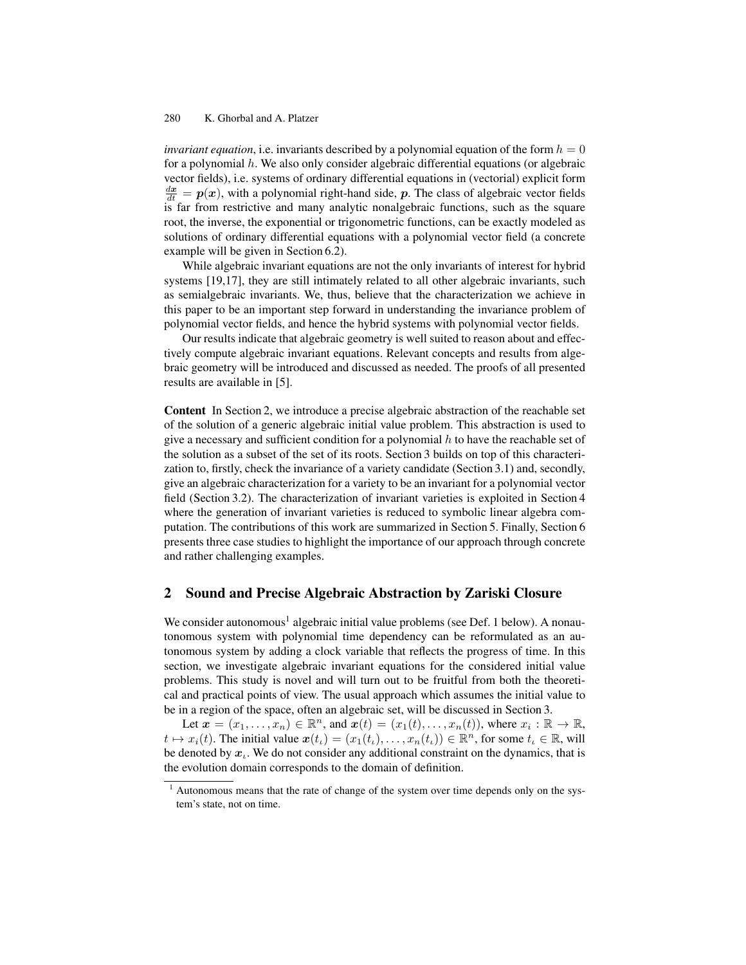*invariant equation*, i.e. invariants described by a polynomial equation of the form  $h = 0$ for a polynomial h. We also only consider algebraic differential equations (or algebraic vector fields), i.e. systems of ordinary differential equations in (vectorial) explicit form  $\frac{dx}{dt} = p(x)$ , with a polynomial right-hand side, p. The class of algebraic vector fields is far from restrictive and many analytic nonalgebraic functions, such as the square root, the inverse, the exponential or trigonometric functions, can be exactly modeled as solutions of ordinary differential equations with a polynomial vector field (a concrete example will be given in Section 6.2).

While algebraic invariant equations are not the only invariants of interest for hybrid systems [19,17], they are still intimately related to all other algebraic invariants, such as semialgebraic invariants. We, thus, believe that the characterization we achieve in this paper to be an important step forward in understanding the invariance problem of polynomial vector fields, and hence the hybrid systems with polynomial vector fields.

Our results indicate that algebraic geometry is well suited to reason about and effectively compute algebraic invariant equations. Relevant concepts and results from algebraic geometry will be introduced and discussed as needed. The proofs of all presented results are available in [5].

Content In Section 2, we introduce a precise algebraic abstraction of the reachable set of the solution of a generic algebraic initial value problem. This abstraction is used to give a necessary and sufficient condition for a polynomial  $h$  to have the reachable set of the solution as a subset of the set of its roots. Section 3 builds on top of this characterization to, firstly, check the invariance of a variety candidate (Section 3.1) and, secondly, give an algebraic characterization for a variety to be an invariant for a polynomial vector field (Section 3.2). The characterization of invariant varieties is exploited in Section 4 where the generation of invariant varieties is reduced to symbolic linear algebra computation. The contributions of this work are summarized in Section 5. Finally, Section 6 presents three case studies to highlight the importance of our approach through concrete and rather challenging examples.

# 2 Sound and Precise Algebraic Abstraction by Zariski Closure

We consider autonomous<sup>1</sup> algebraic initial value problems (see Def. 1 below). A nonautonomous system with polynomial time dependency can be reformulated as an autonomous system by adding a clock variable that reflects the progress of time. In this section, we investigate algebraic invariant equations for the considered initial value problems. This study is novel and will turn out to be fruitful from both the theoretical and practical points of view. The usual approach which assumes the initial value to be in a region of the space, often an algebraic set, will be discussed in Section 3.

Let  $\mathbf{x} = (x_1, \ldots, x_n) \in \mathbb{R}^n$ , and  $\mathbf{x}(t) = (x_1(t), \ldots, x_n(t))$ , where  $x_i : \mathbb{R} \to \mathbb{R}$ ,  $t \mapsto x_i(t)$ . The initial value  $\mathbf{x}(t_i) = (x_1(t_i), \dots, x_n(t_i)) \in \mathbb{R}^n$ , for some  $t_i \in \mathbb{R}$ , will be denoted by  $x_i$ . We do not consider any additional constraint on the dynamics, that is the evolution domain corresponds to the domain of definition.

<sup>1</sup> Autonomous means that the rate of change of the system over time depends only on the system's state, not on time.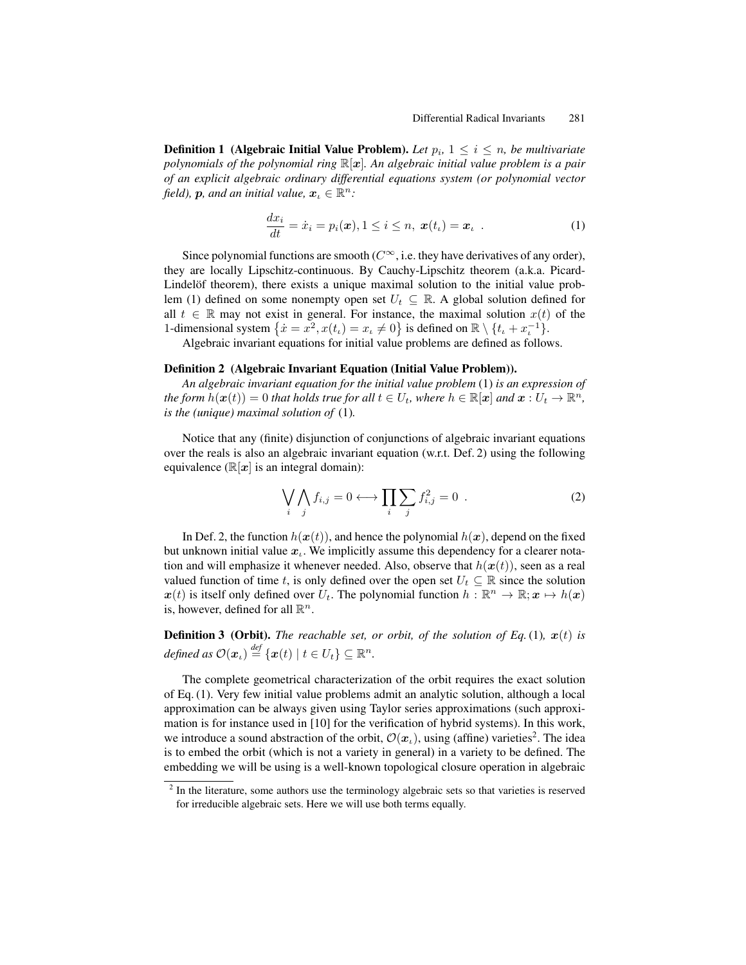**Definition 1** (Algebraic Initial Value Problem). Let  $p_i$ ,  $1 \leq i \leq n$ , be multivariate *polynomials of the polynomial ring* R[x]*. An algebraic initial value problem is a pair of an explicit algebraic ordinary differential equations system (or polynomial vector field*),  $p$ , and an initial value,  $x_i \in \mathbb{R}^n$ :

$$
\frac{dx_i}{dt} = \dot{x}_i = p_i(\boldsymbol{x}), 1 \leq i \leq n, \ \boldsymbol{x}(t_i) = \boldsymbol{x}_i \ . \tag{1}
$$

Since polynomial functions are smooth ( $C^{\infty}$ , i.e. they have derivatives of any order), they are locally Lipschitz-continuous. By Cauchy-Lipschitz theorem (a.k.a. Picard-Lindelöf theorem), there exists a unique maximal solution to the initial value problem (1) defined on some nonempty open set  $U_t \subseteq \mathbb{R}$ . A global solution defined for all  $t \in \mathbb{R}$  may not exist in general. For instance, the maximal solution  $x(t)$  of the 1-dimensional system  $\{\dot{x} = x^2, x(t_\iota) = x_\iota \neq 0\}$  is defined on  $\mathbb{R} \setminus \{t_\iota + x_\iota^{-1}\}.$ 

Algebraic invariant equations for initial value problems are defined as follows.

### Definition 2 (Algebraic Invariant Equation (Initial Value Problem)).

*An algebraic invariant equation for the initial value problem* (1) *is an expression of*  $t$ *he form*  $h(\bm{x}(t)) = 0$  *that holds true for all*  $t \in U_t$ , where  $h \in \mathbb{R}[\bm{x}]$  and  $\bm{x}: U_t \to \mathbb{R}^n$ , *is the (unique) maximal solution of* (1)*.*

Notice that any (finite) disjunction of conjunctions of algebraic invariant equations over the reals is also an algebraic invariant equation (w.r.t. Def. 2) using the following equivalence ( $\mathbb{R}[x]$  is an integral domain):

$$
\bigvee_i \bigwedge_j f_{i,j} = 0 \longleftrightarrow \prod_i \sum_j f_{i,j}^2 = 0 \tag{2}
$$

In Def. 2, the function  $h(x(t))$ , and hence the polynomial  $h(x)$ , depend on the fixed but unknown initial value  $x_i$ . We implicitly assume this dependency for a clearer notation and will emphasize it whenever needed. Also, observe that  $h(\mathbf{x}(t))$ , seen as a real valued function of time t, is only defined over the open set  $U_t \subseteq \mathbb{R}$  since the solution  $\bm{x}(t)$  is itself only defined over  $U_t$ . The polynomial function  $h : \mathbb{R}^n \to \mathbb{R}; \bm{x} \mapsto h(\bm{x})$ is, however, defined for all  $\mathbb{R}^n$ .

**Definition 3 (Orbit).** *The reachable set, or orbit, of the solution of Eq.*(1)*,*  $x(t)$  *is*  $\emph{defined as } \mathcal{O}(\bm{x}_{\iota}) \overset{\textit{def}}{=} \{\bm{x}(t) \mid t \in U_t\} \subseteq \mathbb{R}^n.$ 

The complete geometrical characterization of the orbit requires the exact solution of Eq. (1). Very few initial value problems admit an analytic solution, although a local approximation can be always given using Taylor series approximations (such approximation is for instance used in [10] for the verification of hybrid systems). In this work, we introduce a sound abstraction of the orbit,  $\mathcal{O}(x_t)$ , using (affine) varieties<sup>2</sup>. The idea is to embed the orbit (which is not a variety in general) in a variety to be defined. The embedding we will be using is a well-known topological closure operation in algebraic

 $2$  In the literature, some authors use the terminology algebraic sets so that varieties is reserved for irreducible algebraic sets. Here we will use both terms equally.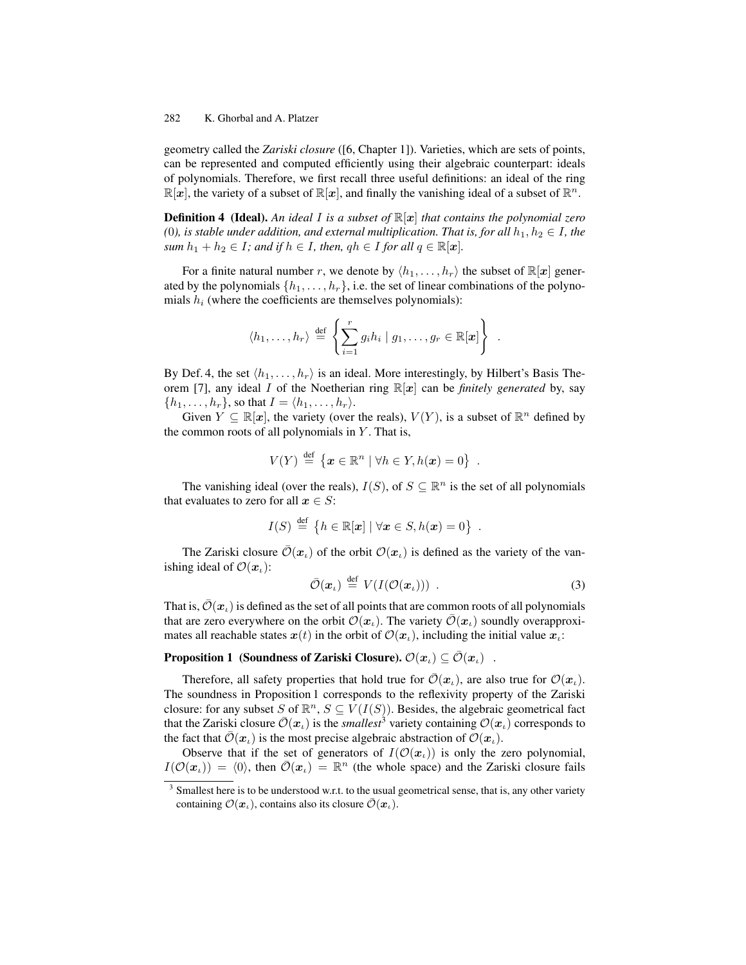geometry called the *Zariski closure* ([6, Chapter 1]). Varieties, which are sets of points, can be represented and computed efficiently using their algebraic counterpart: ideals of polynomials. Therefore, we first recall three useful definitions: an ideal of the ring  $\mathbb{R}[x]$ , the variety of a subset of  $\mathbb{R}[x]$ , and finally the vanishing ideal of a subset of  $\mathbb{R}^n$ .

Definition 4 (Ideal). *An ideal* I *is a subset of* R[x] *that contains the polynomial zero (0), is stable under addition, and external multiplication. That is, for all*  $h_1, h_2 \in I$ *, the sum*  $h_1 + h_2 \in I$ *; and if*  $h \in I$ *, then,*  $qh \in I$  *for all*  $q \in \mathbb{R}[x]$ *.* 

For a finite natural number r, we denote by  $\langle h_1, \ldots, h_r \rangle$  the subset of  $\mathbb{R}[x]$  generated by the polynomials  $\{h_1, \ldots, h_r\}$ , i.e. the set of linear combinations of the polynomials  $h_i$  (where the coefficients are themselves polynomials):

$$
\langle h_1,\ldots,h_r\rangle \stackrel{\text{def}}{=} \left\{ \sum_{i=1}^r g_i h_i \mid g_1,\ldots,g_r \in \mathbb{R}[\boldsymbol{x}] \right\} .
$$

By Def. 4, the set  $\langle h_1, \ldots, h_r \rangle$  is an ideal. More interestingly, by Hilbert's Basis Theorem [7], any ideal I of the Noetherian ring  $\mathbb{R}[x]$  can be *finitely generated* by, say  $\{h_1, \ldots, h_r\}$ , so that  $I = \langle h_1, \ldots, h_r \rangle$ .

Given  $Y \subseteq \mathbb{R}[x]$ , the variety (over the reals),  $V(Y)$ , is a subset of  $\mathbb{R}^n$  defined by the common roots of all polynomials in  $Y$ . That is,

$$
V(Y) \stackrel{\text{def}}{=} \{ \mathbf{x} \in \mathbb{R}^n \mid \forall h \in Y, h(\mathbf{x}) = 0 \} .
$$

The vanishing ideal (over the reals),  $I(S)$ , of  $S \subseteq \mathbb{R}^n$  is the set of all polynomials that evaluates to zero for all  $x \in S$ :

$$
I(S) \stackrel{\text{def}}{=} \{ h \in \mathbb{R}[\boldsymbol{x}] \mid \forall \boldsymbol{x} \in S, h(\boldsymbol{x}) = 0 \} .
$$

The Zariski closure  $\overline{\mathcal{O}}(x_i)$  of the orbit  $\mathcal{O}(x_i)$  is defined as the variety of the vanishing ideal of  $\mathcal{O}(\boldsymbol{x}_t)$ :

$$
\bar{\mathcal{O}}(\boldsymbol{x}_{\iota}) \stackrel{\text{def}}{=} V(I(\mathcal{O}(\boldsymbol{x}_{\iota}))) . \tag{3}
$$

That is,  $\mathcal{O}(\mathbf{x}_t)$  is defined as the set of all points that are common roots of all polynomials that are zero everywhere on the orbit  $\mathcal{O}(\boldsymbol{x}_t)$ . The variety  $\mathcal{O}(\boldsymbol{x}_t)$  soundly overapproximates all reachable states  $x(t)$  in the orbit of  $\mathcal{O}(\boldsymbol{x}_\iota)$ , including the initial value  $\boldsymbol{x}_\iota$ :

### **Proposition 1** (Soundness of Zariski Closure).  $\mathcal{O}(x_i) \subseteq \overline{\mathcal{O}}(x_i)$ .

Therefore, all safety properties that hold true for  $\overline{\mathcal{O}}(\mathbf{x}_i)$ , are also true for  $\mathcal{O}(\mathbf{x}_i)$ . The soundness in Proposition 1 corresponds to the reflexivity property of the Zariski closure: for any subset S of  $\mathbb{R}^n$ ,  $S \subseteq V(I(S))$ . Besides, the algebraic geometrical fact that the Zariski closure  $\overline{\mathcal{O}}(x_i)$  is the *smallest*<sup>3</sup> variety containing  $\mathcal{O}(x_i)$  corresponds to the fact that  $\overline{\mathcal{O}}(\mathbf{x}_t)$  is the most precise algebraic abstraction of  $\mathcal{O}(\mathbf{x}_t)$ .

Observe that if the set of generators of  $I(\mathcal{O}(x_i))$  is only the zero polynomial,  $I(\mathcal{O}(\boldsymbol{x}_i)) = \langle 0 \rangle$ , then  $\overline{\mathcal{O}}(\boldsymbol{x}_i) = \mathbb{R}^n$  (the whole space) and the Zariski closure fails

 $3$  Smallest here is to be understood w.r.t. to the usual geometrical sense, that is, any other variety containing  $\mathcal{O}(\boldsymbol{x}_t)$ , contains also its closure  $\bar{\mathcal{O}}(\boldsymbol{x}_t)$ .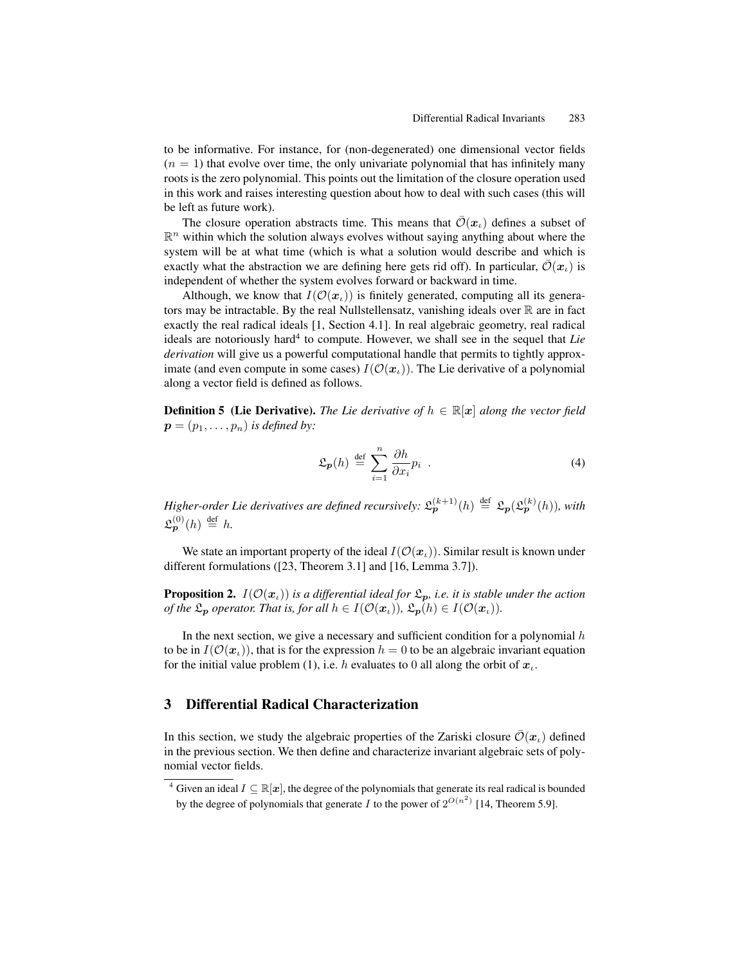to be informative. For instance, for (non-degenerated) one dimensional vector fields  $(n = 1)$  that evolve over time, the only univariate polynomial that has infinitely many roots is the zero polynomial. This points out the limitation of the closure operation used in this work and raises interesting question about how to deal with such cases (this will be left as future work).

The closure operation abstracts time. This means that  $\mathcal{O}(\mathbf{x}_i)$  defines a subset of  $\mathbb{R}^n$  within which the solution always evolves without saying anything about where the system will be at what time (which is what a solution would describe and which is exactly what the abstraction we are defining here gets rid off). In particular,  $\mathcal{O}(x_i)$  is independent of whether the system evolves forward or backward in time.

Although, we know that  $I(\mathcal{O}(\boldsymbol{x}_i))$  is finitely generated, computing all its generators may be intractable. By the real Nullstellensatz, vanishing ideals over  $\mathbb R$  are in fact exactly the real radical ideals [1, Section 4.1]. In real algebraic geometry, real radical ideals are notoriously hard<sup>4</sup> to compute. However, we shall see in the sequel that *Lie derivation* will give us a powerful computational handle that permits to tightly approximate (and even compute in some cases)  $I(\mathcal{O}(\boldsymbol{x}_t))$ . The Lie derivative of a polynomial along a vector field is defined as follows.

**Definition 5 (Lie Derivative).** *The Lie derivative of*  $h \in \mathbb{R}[x]$  *along the vector field*  $\mathbf{p} = (p_1, \ldots, p_n)$  *is defined by:* 

$$
\mathfrak{L}_{p}(h) \stackrel{\text{def}}{=} \sum_{i=1}^{n} \frac{\partial h}{\partial x_{i}} p_{i} . \tag{4}
$$

*Higher-order Lie derivatives are defined recursively:*  $\mathfrak{L}_{\mathbf{p}}^{(k+1)}(h) \stackrel{\text{def}}{=} \mathfrak{L}_{\mathbf{p}}(\mathfrak{L}_{\mathbf{p}}^{(k)}(h))$ , with  $\mathfrak{L}_{\mathbf{p}}^{(0)}(h) \stackrel{\text{def}}{=} h.$ 

We state an important property of the ideal  $I(\mathcal{O}(\boldsymbol{x}_i))$ . Similar result is known under different formulations ([23, Theorem 3.1] and [16, Lemma 3.7]).

**Proposition 2.**  $I(\mathcal{O}(\boldsymbol{x}_t))$  *is a differential ideal for*  $\mathfrak{L}_{p}$ *, i.e. it is stable under the action of the*  $\mathfrak{L}_p$  *operator. That is, for all*  $h \in I(\mathcal{O}(\boldsymbol{x}_\iota)), \mathfrak{L}_p(h) \in I(\mathcal{O}(\boldsymbol{x}_\iota)).$ 

In the next section, we give a necessary and sufficient condition for a polynomial  $h$ to be in  $I(\mathcal{O}(\boldsymbol{x}_t))$ , that is for the expression  $h = 0$  to be an algebraic invariant equation for the initial value problem (1), i.e. h evaluates to 0 all along the orbit of  $x_i$ .

# 3 Differential Radical Characterization

In this section, we study the algebraic properties of the Zariski closure  $\overline{\mathcal{O}}(x_i)$  defined in the previous section. We then define and characterize invariant algebraic sets of polynomial vector fields.

<sup>&</sup>lt;sup>4</sup> Given an ideal  $I \subseteq \mathbb{R}[\boldsymbol{x}]$ , the degree of the polynomials that generate its real radical is bounded by the degree of polynomials that generate I to the power of  $2^{O(n^2)}$  [14, Theorem 5.9].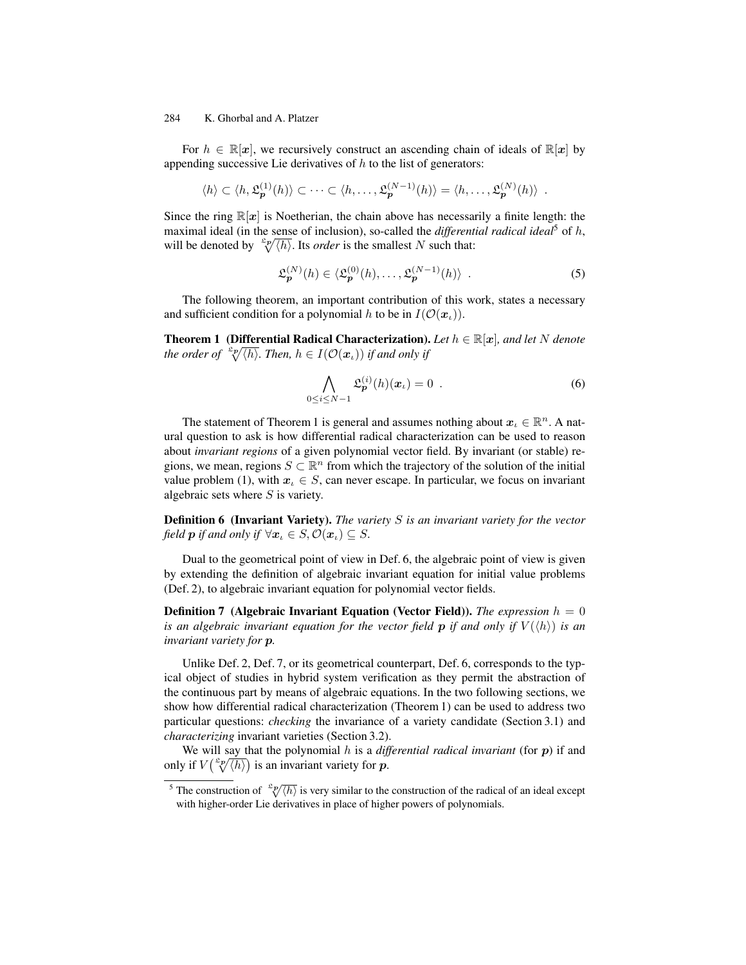For  $h \in \mathbb{R}[\mathbf{x}]$ , we recursively construct an ascending chain of ideals of  $\mathbb{R}[\mathbf{x}]$  by appending successive Lie derivatives of  $h$  to the list of generators:

$$
\langle h \rangle \subset \langle h, \mathfrak{L}_{\mathbf{p}}^{(1)}(h) \rangle \subset \cdots \subset \langle h, \ldots, \mathfrak{L}_{\mathbf{p}}^{(N-1)}(h) \rangle = \langle h, \ldots, \mathfrak{L}_{\mathbf{p}}^{(N)}(h) \rangle.
$$

Since the ring  $\mathbb{R}[x]$  is Noetherian, the chain above has necessarily a finite length: the maximal ideal (in the sense of inclusion), so-called the *differential radical ideal*<sup>5</sup> of h, will be denoted by  $\sqrt[\text{D}]{\langle h \rangle}$ . Its *order* is the smallest N such that:

$$
\mathfrak{L}_{\boldsymbol{p}}^{(N)}(h) \in \langle \mathfrak{L}_{\boldsymbol{p}}^{(0)}(h), \dots, \mathfrak{L}_{\boldsymbol{p}}^{(N-1)}(h) \rangle . \tag{5}
$$

The following theorem, an important contribution of this work, states a necessary and sufficient condition for a polynomial h to be in  $I(\mathcal{O}(\boldsymbol{x}_t)).$ 

**Theorem 1** (Differential Radical Characterization). Let  $h \in \mathbb{R}[x]$ , and let N denote *the order of*  $\sqrt[2p]{\langle h \rangle}$ . Then,  $h \in I(\mathcal{O}(\boldsymbol{x}_\iota))$  if and only if

$$
\bigwedge_{0 \le i \le N-1} \mathfrak{L}_{\mathbf{p}}^{(i)}(h)(\mathbf{x}_i) = 0 \tag{6}
$$

The statement of Theorem 1 is general and assumes nothing about  $x_i \in \mathbb{R}^n$ . A natural question to ask is how differential radical characterization can be used to reason about *invariant regions* of a given polynomial vector field. By invariant (or stable) regions, we mean, regions  $S \subset \mathbb{R}^n$  from which the trajectory of the solution of the initial value problem (1), with  $x_i \in S$ , can never escape. In particular, we focus on invariant algebraic sets where  $S$  is variety.

Definition 6 (Invariant Variety). *The variety* S *is an invariant variety for the vector field*  $p$  *if and only if*  $\forall x_i \in S$ ,  $\mathcal{O}(x_i) \subseteq S$ .

Dual to the geometrical point of view in Def. 6, the algebraic point of view is given by extending the definition of algebraic invariant equation for initial value problems (Def. 2), to algebraic invariant equation for polynomial vector fields.

**Definition 7** (Algebraic Invariant Equation (Vector Field)). *The expression*  $h = 0$ *is an algebraic invariant equation for the vector field*  $\bf{p}$  *if and only if*  $V(\langle h \rangle)$  *is an invariant variety for* p*.*

Unlike Def. 2, Def. 7, or its geometrical counterpart, Def. 6, corresponds to the typical object of studies in hybrid system verification as they permit the abstraction of the continuous part by means of algebraic equations. In the two following sections, we show how differential radical characterization (Theorem 1) can be used to address two particular questions: *checking* the invariance of a variety candidate (Section 3.1) and *characterizing* invariant varieties (Section 3.2).

We will say that the polynomial h is a *differential radical invariant* (for p) if and only if  $V(\sqrt[\mathfrak{p}]{\langle h \rangle})$  is an invariant variety for  $p$ .

<sup>&</sup>lt;sup>5</sup> The construction of  $\sqrt[\text{D}]{\langle h \rangle}$  is very similar to the construction of the radical of an ideal except with higher-order Lie derivatives in place of higher powers of polynomials.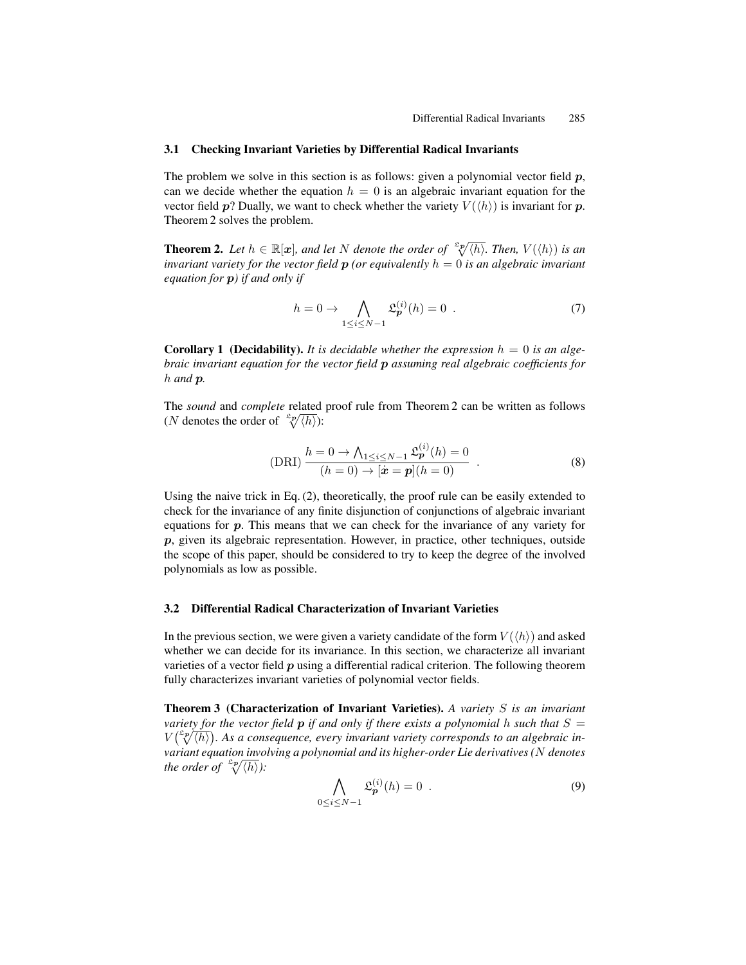### 3.1 Checking Invariant Varieties by Differential Radical Invariants

The problem we solve in this section is as follows: given a polynomial vector field  $p$ , can we decide whether the equation  $h = 0$  is an algebraic invariant equation for the vector field  $p$ ? Dually, we want to check whether the variety  $V(\langle h \rangle)$  is invariant for  $p$ . Theorem 2 solves the problem.

**Theorem 2.** Let  $h \in \mathbb{R}[x]$ , and let N denote the order of  $\sqrt[2p]{\langle h \rangle}$ . Then,  $V(\langle h \rangle)$  is an *invariant variety for the vector field*  $p$  *(or equivalently*  $h = 0$  *is an algebraic invariant equation for* p*) if and only if*

$$
h = 0 \to \bigwedge_{1 \le i \le N-1} \mathfrak{L}_{\mathbf{p}}^{(i)}(h) = 0 \tag{7}
$$

**Corollary 1 (Decidability).** It is decidable whether the expression  $h = 0$  is an alge*braic invariant equation for the vector field* p *assuming real algebraic coefficients for* h *and* p*.*

The *sound* and *complete* related proof rule from Theorem 2 can be written as follows (*N* denotes the order of  $\sqrt[2p]{\langle h \rangle}$ ):

$$
\text{(DRI)}\,\frac{h=0 \to \bigwedge_{1 \leq i \leq N-1} \mathfrak{L}_{\mathbf{p}}^{(i)}(h)=0}{(h=0) \to |\dot{\mathbf{x}}=\mathbf{p}|(h=0)}\tag{8}
$$

Using the naive trick in Eq. (2), theoretically, the proof rule can be easily extended to check for the invariance of any finite disjunction of conjunctions of algebraic invariant equations for  $p$ . This means that we can check for the invariance of any variety for p, given its algebraic representation. However, in practice, other techniques, outside the scope of this paper, should be considered to try to keep the degree of the involved polynomials as low as possible.

### 3.2 Differential Radical Characterization of Invariant Varieties

In the previous section, we were given a variety candidate of the form  $V(\langle h \rangle)$  and asked whether we can decide for its invariance. In this section, we characterize all invariant varieties of a vector field p using a differential radical criterion. The following theorem fully characterizes invariant varieties of polynomial vector fields.

Theorem 3 (Characterization of Invariant Varieties). *A variety* S *is an invariant variety for the vector field*  $p$  *if and only if there exists a polynomial h such that*  $S =$  $V(\sqrt[2p]{\langle h \rangle})$ . As a consequence, every invariant variety corresponds to an algebraic in*variant equation involving a polynomial and its higher-order Lie derivatives (*N *denotes the order of*  $\sqrt[2p]{\langle h \rangle}$ *):* 

$$
\bigwedge_{0 \le i \le N-1} \mathfrak{L}_{\mathbf{p}}^{(i)}(h) = 0 . \tag{9}
$$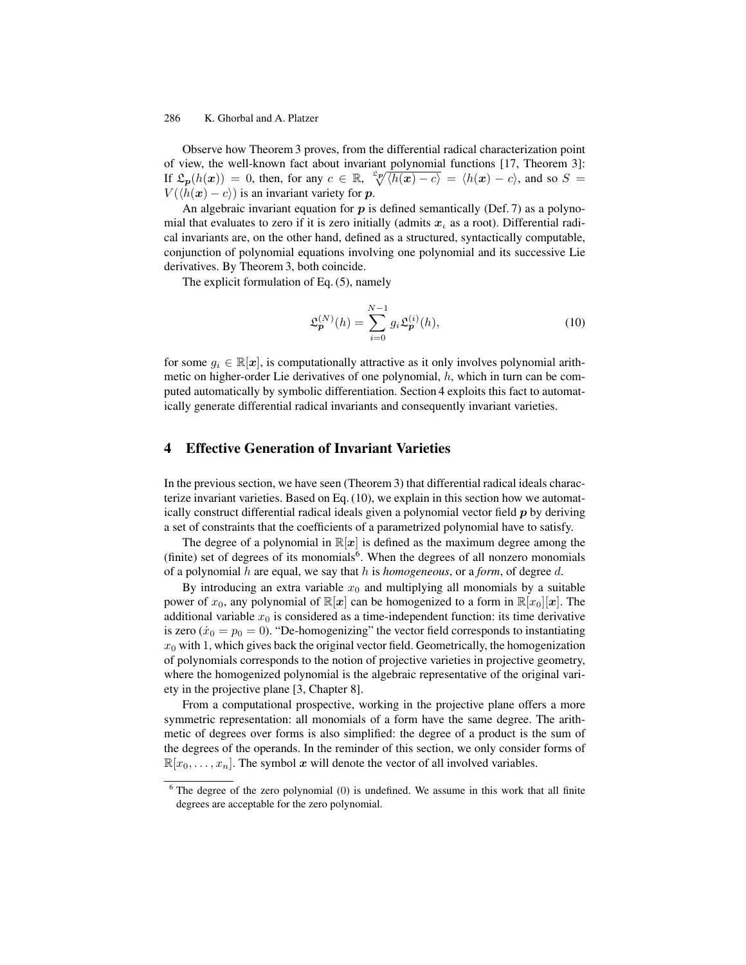Observe how Theorem 3 proves, from the differential radical characterization point of view, the well-known fact about invariant polynomial functions [17, Theorem 3]: If  $\mathfrak{L}_{p}(h(x)) = 0$ , then, for any  $c \in \mathbb{R}$ ,  $\sqrt[\text{D}]{\langle h(x) - c \rangle} = \langle h(x) - c \rangle$ , and so  $S =$  $V(\langle h(x) - c \rangle)$  is an invariant variety for p.

An algebraic invariant equation for  $p$  is defined semantically (Def. 7) as a polynomial that evaluates to zero if it is zero initially (admits  $x_i$  as a root). Differential radical invariants are, on the other hand, defined as a structured, syntactically computable, conjunction of polynomial equations involving one polynomial and its successive Lie derivatives. By Theorem 3, both coincide.

The explicit formulation of Eq. (5), namely

$$
\mathfrak{L}_{\boldsymbol{p}}^{(N)}(h) = \sum_{i=0}^{N-1} g_i \mathfrak{L}_{\boldsymbol{p}}^{(i)}(h),
$$
\n(10)

for some  $g_i \in \mathbb{R}[\boldsymbol{x}]$ , is computationally attractive as it only involves polynomial arithmetic on higher-order Lie derivatives of one polynomial, h, which in turn can be computed automatically by symbolic differentiation. Section 4 exploits this fact to automatically generate differential radical invariants and consequently invariant varieties.

# 4 Effective Generation of Invariant Varieties

In the previous section, we have seen (Theorem 3) that differential radical ideals characterize invariant varieties. Based on Eq. (10), we explain in this section how we automatically construct differential radical ideals given a polynomial vector field  $p$  by deriving a set of constraints that the coefficients of a parametrized polynomial have to satisfy.

The degree of a polynomial in  $\mathbb{R}[x]$  is defined as the maximum degree among the (finite) set of degrees of its monomials<sup>6</sup>. When the degrees of all nonzero monomials of a polynomial h are equal, we say that h is *homogeneous*, or a *form*, of degree d.

By introducing an extra variable  $x_0$  and multiplying all monomials by a suitable power of  $x_0$ , any polynomial of  $\mathbb{R}[x]$  can be homogenized to a form in  $\mathbb{R}[x_0][x]$ . The additional variable  $x_0$  is considered as a time-independent function: its time derivative is zero ( $\dot{x}_0 = p_0 = 0$ ). "De-homogenizing" the vector field corresponds to instantiating  $x_0$  with 1, which gives back the original vector field. Geometrically, the homogenization of polynomials corresponds to the notion of projective varieties in projective geometry, where the homogenized polynomial is the algebraic representative of the original variety in the projective plane [3, Chapter 8].

From a computational prospective, working in the projective plane offers a more symmetric representation: all monomials of a form have the same degree. The arithmetic of degrees over forms is also simplified: the degree of a product is the sum of the degrees of the operands. In the reminder of this section, we only consider forms of  $\mathbb{R}[x_0, \ldots, x_n]$ . The symbol x will denote the vector of all involved variables.

 $6$  The degree of the zero polynomial (0) is undefined. We assume in this work that all finite degrees are acceptable for the zero polynomial.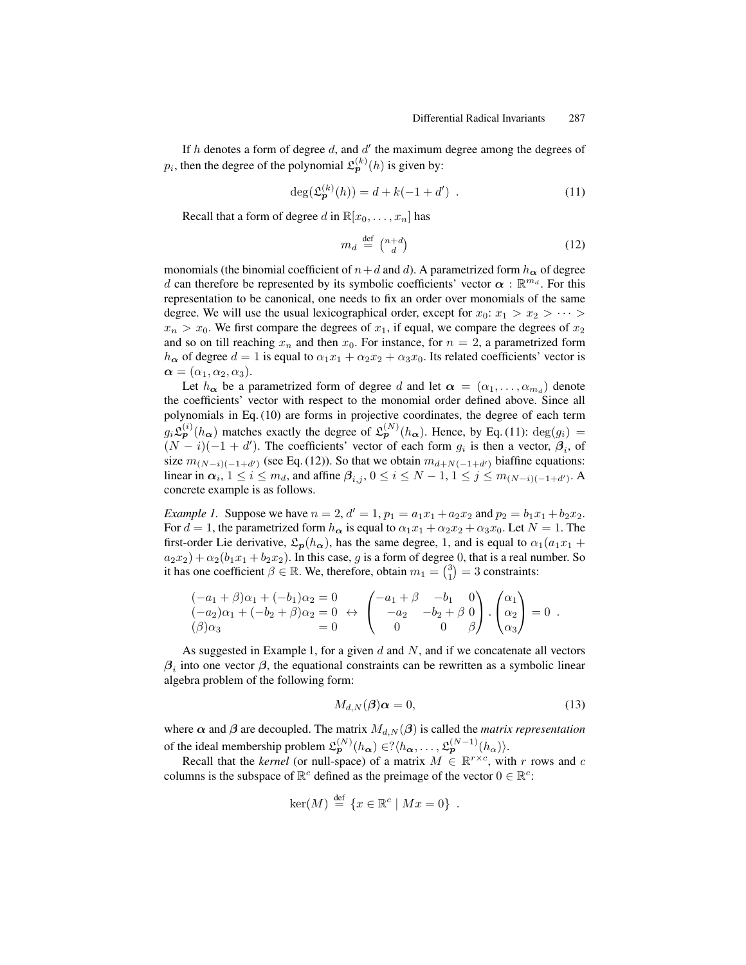If  $h$  denotes a form of degree  $d$ , and  $d'$  the maximum degree among the degrees of  $p_i$ , then the degree of the polynomial  $\mathfrak{L}_{\mathbf{p}}^{(k)}(h)$  is given by:

$$
\deg(\mathfrak{L}_{\mathbf{p}}^{(k)}(h)) = d + k(-1 + d') \tag{11}
$$

Recall that a form of degree d in  $\mathbb{R}[x_0, \ldots, x_n]$  has

$$
m_d \stackrel{\text{def}}{=} \binom{n+d}{d} \tag{12}
$$

monomials (the binomial coefficient of  $n+d$  and d). A parametrized form  $h_{\alpha}$  of degree d can therefore be represented by its symbolic coefficients' vector  $\alpha : \mathbb{R}^{m_d}$ . For this representation to be canonical, one needs to fix an order over monomials of the same degree. We will use the usual lexicographical order, except for  $x_0: x_1 > x_2 > \cdots >$  $x_n > x_0$ . We first compare the degrees of  $x_1$ , if equal, we compare the degrees of  $x_2$ and so on till reaching  $x_n$  and then  $x_0$ . For instance, for  $n = 2$ , a parametrized form  $h_{\alpha}$  of degree  $d = 1$  is equal to  $\alpha_1 x_1 + \alpha_2 x_2 + \alpha_3 x_0$ . Its related coefficients' vector is  $\boldsymbol{\alpha} = (\alpha_1, \alpha_2, \alpha_3).$ 

Let  $h_{\alpha}$  be a parametrized form of degree d and let  $\alpha = (\alpha_1, \dots, \alpha_{m_d})$  denote the coefficients' vector with respect to the monomial order defined above. Since all polynomials in Eq. (10) are forms in projective coordinates, the degree of each term  $g_i \mathfrak{L}_{\bm{p}}^{(i)}(h_{\bm{\alpha}})$  matches exactly the degree of  $\mathfrak{L}_{\bm{p}}^{(N)}(h_{\bm{\alpha}})$ . Hence, by Eq. (11):  $\deg(g_i)$  =  $(N - i)(-1 + d')$ . The coefficients' vector of each form  $g_i$  is then a vector,  $\beta_i$ , of size  $m_{(N-i)(-1+d')}$  (see Eq. (12)). So that we obtain  $m_{d+N(-1+d')}$  biaffine equations: linear in  $\alpha_i$ ,  $1 \le i \le m_d$ , and affine  $\beta_{i,j}$ ,  $0 \le i \le N-1$ ,  $1 \le j \le m_{(N-i)(-1+d')}$ . A concrete example is as follows.

*Example 1.* Suppose we have  $n = 2$ ,  $d' = 1$ ,  $p_1 = a_1x_1 + a_2x_2$  and  $p_2 = b_1x_1 + b_2x_2$ . For  $d = 1$ , the parametrized form  $h_{\alpha}$  is equal to  $\alpha_1 x_1 + \alpha_2 x_2 + \alpha_3 x_0$ . Let  $N = 1$ . The first-order Lie derivative,  $\mathfrak{L}_p(h_\alpha)$ , has the same degree, 1, and is equal to  $\alpha_1(a_1x_1 +$  $a_2x_2$ ) +  $\alpha_2(b_1x_1 + b_2x_2)$ . In this case, g is a form of degree 0, that is a real number. So it has one coefficient  $\beta \in \mathbb{R}$ . We, therefore, obtain  $m_1 = \binom{3}{1} = 3$  constraints:

$$
\begin{array}{ll}\n(-a_1 + \beta)\alpha_1 + (-b_1)\alpha_2 = 0 \\
(-a_2)\alpha_1 + (-b_2 + \beta)\alpha_2 = 0 \leftrightarrow \begin{pmatrix} -a_1 + \beta & -b_1 & 0 \\
-a_2 & -b_2 + \beta & 0 \\
0 & 0 & \beta \end{pmatrix} . \begin{pmatrix} \alpha_1 \\
\alpha_2 \\
\alpha_3 \end{pmatrix} = 0 . \\
(\beta)\alpha_3\n\end{array}
$$

As suggested in Example 1, for a given  $d$  and  $N$ , and if we concatenate all vectors  $\beta_i$  into one vector  $\beta$ , the equational constraints can be rewritten as a symbolic linear algebra problem of the following form:

$$
M_{d,N}(\boldsymbol{\beta})\boldsymbol{\alpha} = 0,\tag{13}
$$

where  $\alpha$  and  $\beta$  are decoupled. The matrix  $M_{d,N}(\beta)$  is called the *matrix representation* of the ideal membership problem  $\mathfrak{L}_{\mathbf{p}}^{(N)}(h_{\mathbf{\alpha}}) \in ?\langle h_{\mathbf{\alpha}}, \ldots, \mathfrak{L}_{\mathbf{p}}^{(N-1)}(h_{\alpha}) \rangle$ .

Recall that the *kernel* (or null-space) of a matrix  $M \in \mathbb{R}^{r \times c}$ , with r rows and c columns is the subspace of  $\mathbb{R}^c$  defined as the preimage of the vector  $0 \in \mathbb{R}^c$ :

$$
\ker(M) \stackrel{\text{def}}{=} \{x \in \mathbb{R}^c \mid Mx = 0\} .
$$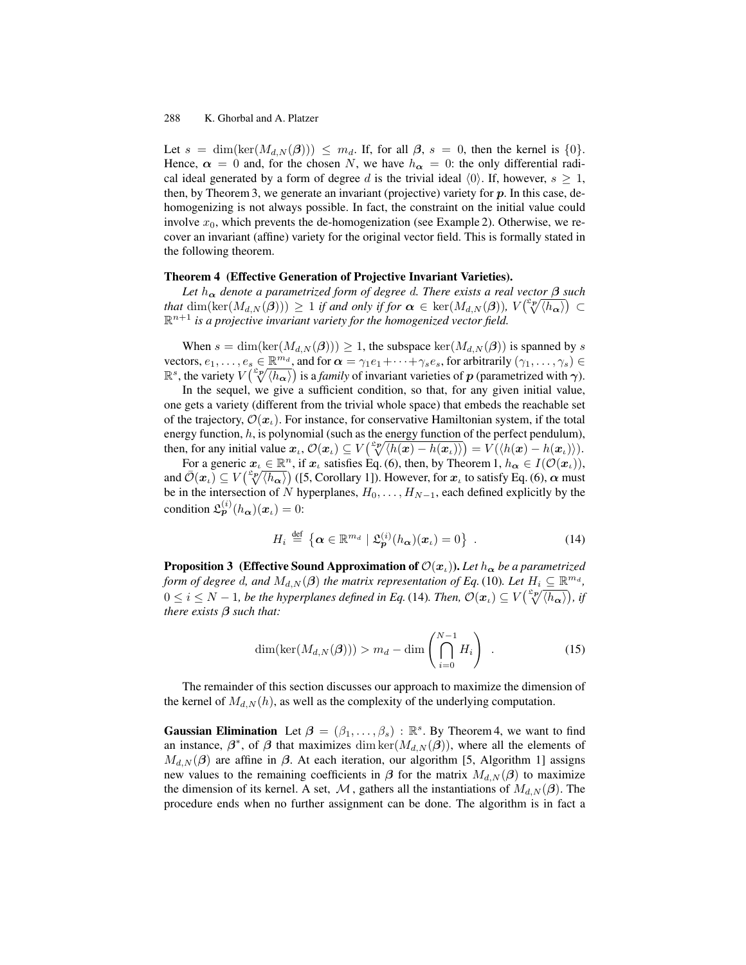Let  $s = \dim(\ker(M_{d,N}(\beta))) \leq m_d$ . If, for all  $\beta$ ,  $s = 0$ , then the kernel is  $\{0\}$ . Hence,  $\alpha = 0$  and, for the chosen N, we have  $h_{\alpha} = 0$ : the only differential radical ideal generated by a form of degree d is the trivial ideal  $\langle 0 \rangle$ . If, however,  $s \geq 1$ , then, by Theorem 3, we generate an invariant (projective) variety for  $p$ . In this case, dehomogenizing is not always possible. In fact, the constraint on the initial value could involve  $x_0$ , which prevents the de-homogenization (see Example 2). Otherwise, we recover an invariant (affine) variety for the original vector field. This is formally stated in the following theorem.

### Theorem 4 (Effective Generation of Projective Invariant Varieties).

*Let*  $h_{\alpha}$  *denote a parametrized form of degree d. There exists a real vector*  $β$  *such that*  $\dim(\ker(M_{d,N}(\beta))) \geq 1$  *if and only if for*  $\alpha \in \ker(M_{d,N}(\beta))$ ,  $V(\sqrt[p]{\langle h_{\alpha} \rangle}) \subset$  $\mathbb{R}^{n+1}$  is a projective invariant variety for the homogenized vector field.

When  $s = \dim(\ker(M_{d,N}(\beta))) \geq 1$ , the subspace  $\ker(M_{d,N}(\beta))$  is spanned by s vectors,  $e_1, \ldots, e_s \in \mathbb{R}^{m_d}$ , and for  $\alpha = \gamma_1 e_1 + \cdots + \gamma_s e_s$ , for arbitrarily  $(\gamma_1, \ldots, \gamma_s) \in$  $\mathbb{R}^s$ , the variety  $V(\sqrt[\mathfrak{L}_i]{\langle h_{\alpha}\rangle})$  is a *family* of invariant varieties of p (parametrized with  $\gamma$ ).

In the sequel, we give a sufficient condition, so that, for any given initial value, one gets a variety (different from the trivial whole space) that embeds the reachable set of the trajectory,  $\mathcal{O}(\mathbf{x}_i)$ . For instance, for conservative Hamiltonian system, if the total energy function,  $h$ , is polynomial (such as the energy function of the perfect pendulum), then, for any initial value  $x_i$ ,  $\mathcal{O}(x_i) \subseteq V\left(\sqrt[2^n]{\langle h(x) - h(x_i) \rangle}\right) = V(\langle h(x) - h(x_i) \rangle)$ .

For a generic  $x_i \in \mathbb{R}^n$ , if  $x_i$  satisfies Eq. (6), then, by Theorem 1,  $h_{\alpha} \in I(\mathcal{O}(\mathbf{x}_i))$ , and  $\bar{\mathcal{O}}(x_i) \subseteq V\left(\sqrt[2p]{\langle h_{\alpha} \rangle}\right)$  ([5, Corollary 1]). However, for  $x_i$  to satisfy Eq. (6),  $\alpha$  must be in the intersection of N hyperplanes,  $H_0, \ldots, H_{N-1}$ , each defined explicitly by the condition  $\mathfrak{L}_{\mathbf{p}}^{(i)}(h_{\alpha})(\mathbf{x}_{i})=0$ :

$$
H_i \stackrel{\text{def}}{=} \left\{ \alpha \in \mathbb{R}^{m_d} \mid \mathfrak{L}_p^{(i)}(h_\alpha)(x_\iota) = 0 \right\} \ . \tag{14}
$$

**Proposition 3** (Effective Sound Approximation of  $\mathcal{O}(x_i)$ ). Let  $h_{\alpha}$  be a parametrized *form of degree d, and*  $M_{d,N}(\beta)$  *the matrix representation of Eq.* (10)*. Let*  $H_i \subseteq \mathbb{R}^{m_d}$ *,*  $0\leq i\leq N-1,$  be the hyperplanes defined in Eq. (14). Then,  $\mathcal{O}({\bm{x}}_\) \subseteq V\binom{\mathfrak{x}_{\bm{p}}}{\hbar\bm{\alpha}}$ , if *there exists* β *such that:*

$$
\dim(\ker(M_{d,N}(\boldsymbol{\beta}))) > m_d - \dim\left(\bigcap_{i=0}^{N-1} H_i\right) . \tag{15}
$$

The remainder of this section discusses our approach to maximize the dimension of the kernel of  $M_{d,N}(h)$ , as well as the complexity of the underlying computation.

**Gaussian Elimination** Let  $\beta = (\beta_1, \ldots, \beta_s) : \mathbb{R}^s$ . By Theorem 4, we want to find an instance,  $\beta^*$ , of  $\beta$  that maximizes dim ker $(M_{d,N}(\beta))$ , where all the elements of  $M_{d,N}(\beta)$  are affine in  $\beta$ . At each iteration, our algorithm [5, Algorithm 1] assigns new values to the remaining coefficients in  $\beta$  for the matrix  $M_{d,N}(\beta)$  to maximize the dimension of its kernel. A set, M, gathers all the instantiations of  $M_{d,N}(\beta)$ . The procedure ends when no further assignment can be done. The algorithm is in fact a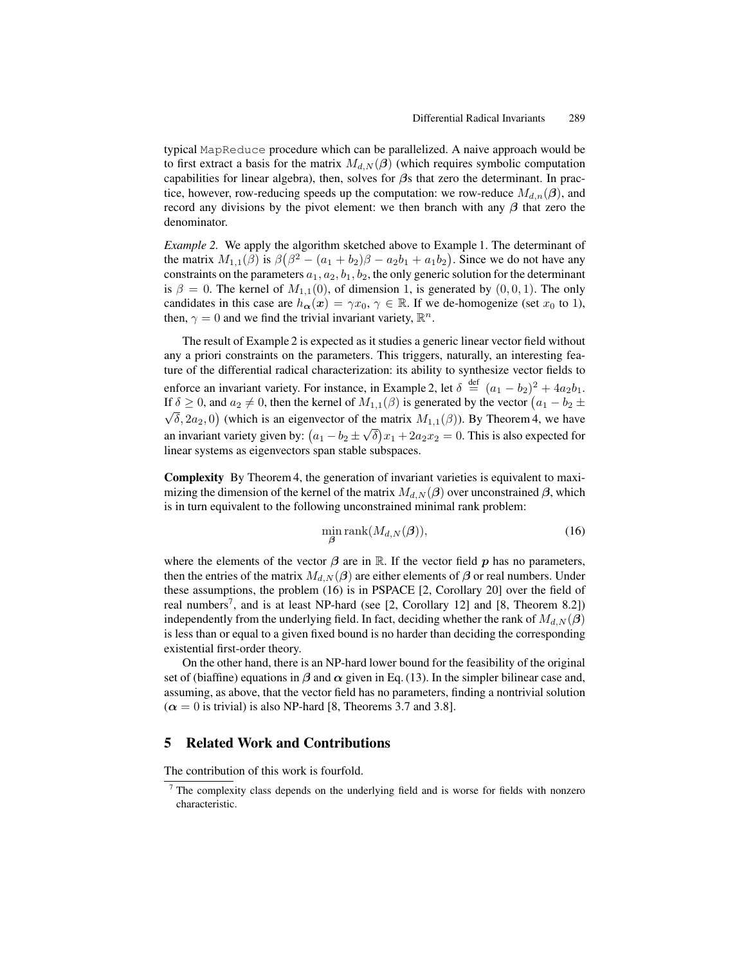typical MapReduce procedure which can be parallelized. A naive approach would be to first extract a basis for the matrix  $M_{d,N}(\beta)$  (which requires symbolic computation capabilities for linear algebra), then, solves for  $\beta$ s that zero the determinant. In practice, however, row-reducing speeds up the computation: we row-reduce  $M_{d,n}(\beta)$ , and record any divisions by the pivot element: we then branch with any  $\beta$  that zero the denominator.

*Example 2.* We apply the algorithm sketched above to Example 1. The determinant of the matrix  $M_{1,1}(\beta)$  is  $\beta(\beta^2 - (a_1 + b_2)\beta - a_2b_1 + a_1b_2)$ . Since we do not have any constraints on the parameters  $a_1, a_2, b_1, b_2$ , the only generic solution for the determinant is  $\beta = 0$ . The kernel of  $M_{1,1}(0)$ , of dimension 1, is generated by  $(0, 0, 1)$ . The only candidates in this case are  $h_{\alpha}(x) = \gamma x_0, \gamma \in \mathbb{R}$ . If we de-homogenize (set  $x_0$  to 1), then,  $\gamma = 0$  and we find the trivial invariant variety,  $\mathbb{R}^n$ .

The result of Example 2 is expected as it studies a generic linear vector field without any a priori constraints on the parameters. This triggers, naturally, an interesting feature of the differential radical characterization: its ability to synthesize vector fields to enforce an invariant variety. For instance, in Example 2, let  $\delta \stackrel{\text{def}}{=} (a_1 - b_2)^2 + 4a_2b_1$ . If  $\delta \ge 0$ , and  $a_2 \ne 0$ , then the kernel of  $M_{1,1}(\beta)$  is generated by the vector  $(a_1 - b_2 \pm \sqrt{a_1 a_2})$  $\delta$ ,  $2a_2$ , 0) (which is an eigenvector of the matrix  $M_{1,1}(\beta)$ ). By Theorem 4, we have an invariant variety given by:  $(a_1 - b_2 \pm \sqrt{\delta})x_1 + 2a_2x_2 = 0$ . This is also expected for linear systems as eigenvectors span stable subspaces.

Complexity By Theorem 4, the generation of invariant varieties is equivalent to maximizing the dimension of the kernel of the matrix  $M_{d,N}(\beta)$  over unconstrained  $\beta$ , which is in turn equivalent to the following unconstrained minimal rank problem:

$$
\min_{\boldsymbol{\beta}} \text{rank}(M_{d,N}(\boldsymbol{\beta})),\tag{16}
$$

where the elements of the vector  $\beta$  are in R. If the vector field p has no parameters, then the entries of the matrix  $M_{d,N}(\beta)$  are either elements of  $\beta$  or real numbers. Under these assumptions, the problem (16) is in PSPACE [2, Corollary 20] over the field of real numbers<sup>7</sup>, and is at least NP-hard (see [2, Corollary 12] and [8, Theorem 8.2]) independently from the underlying field. In fact, deciding whether the rank of  $M_{d,N}(\beta)$ is less than or equal to a given fixed bound is no harder than deciding the corresponding existential first-order theory.

On the other hand, there is an NP-hard lower bound for the feasibility of the original set of (biaffine) equations in  $\beta$  and  $\alpha$  given in Eq. (13). In the simpler bilinear case and, assuming, as above, that the vector field has no parameters, finding a nontrivial solution  $(\alpha = 0$  is trivial) is also NP-hard [8, Theorems 3.7 and 3.8].

### 5 Related Work and Contributions

The contribution of this work is fourfold.

<sup>7</sup> The complexity class depends on the underlying field and is worse for fields with nonzero characteristic.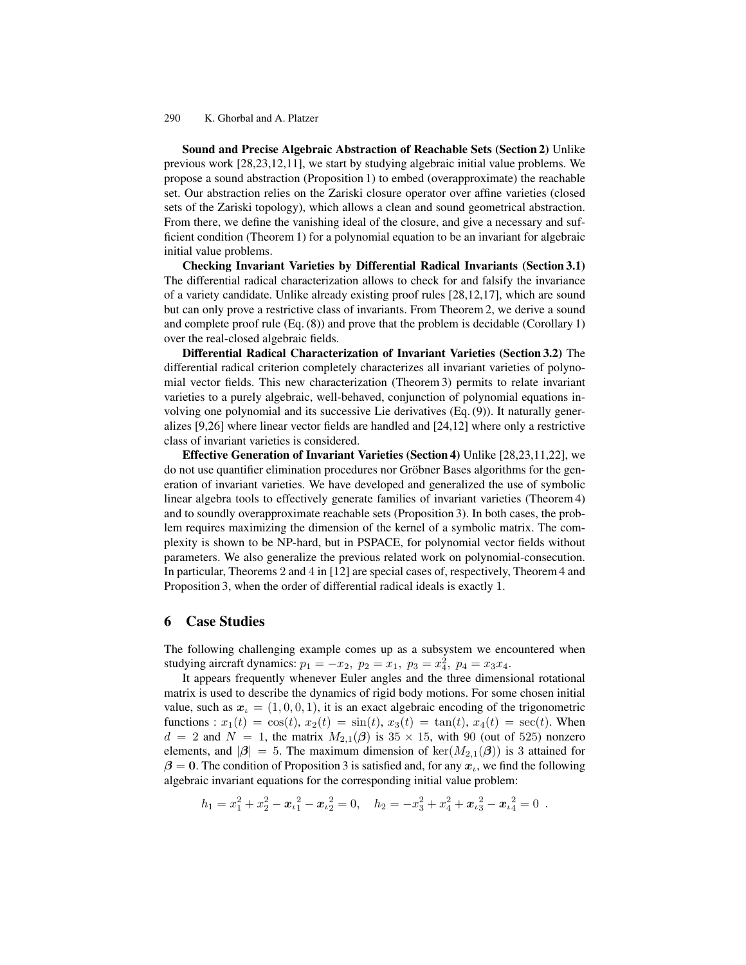Sound and Precise Algebraic Abstraction of Reachable Sets (Section 2) Unlike previous work [28,23,12,11], we start by studying algebraic initial value problems. We propose a sound abstraction (Proposition 1) to embed (overapproximate) the reachable set. Our abstraction relies on the Zariski closure operator over affine varieties (closed sets of the Zariski topology), which allows a clean and sound geometrical abstraction. From there, we define the vanishing ideal of the closure, and give a necessary and sufficient condition (Theorem 1) for a polynomial equation to be an invariant for algebraic initial value problems.

Checking Invariant Varieties by Differential Radical Invariants (Section 3.1) The differential radical characterization allows to check for and falsify the invariance of a variety candidate. Unlike already existing proof rules [28,12,17], which are sound but can only prove a restrictive class of invariants. From Theorem 2, we derive a sound and complete proof rule  $(Eq. (8))$  and prove that the problem is decidable (Corollary 1) over the real-closed algebraic fields.

Differential Radical Characterization of Invariant Varieties (Section 3.2) The differential radical criterion completely characterizes all invariant varieties of polynomial vector fields. This new characterization (Theorem 3) permits to relate invariant varieties to a purely algebraic, well-behaved, conjunction of polynomial equations involving one polynomial and its successive Lie derivatives (Eq. (9)). It naturally generalizes [9,26] where linear vector fields are handled and [24,12] where only a restrictive class of invariant varieties is considered.

Effective Generation of Invariant Varieties (Section 4) Unlike [28,23,11,22], we do not use quantifier elimination procedures nor Gröbner Bases algorithms for the generation of invariant varieties. We have developed and generalized the use of symbolic linear algebra tools to effectively generate families of invariant varieties (Theorem 4) and to soundly overapproximate reachable sets (Proposition 3). In both cases, the problem requires maximizing the dimension of the kernel of a symbolic matrix. The complexity is shown to be NP-hard, but in PSPACE, for polynomial vector fields without parameters. We also generalize the previous related work on polynomial-consecution. In particular, Theorems 2 and 4 in [12] are special cases of, respectively, Theorem 4 and Proposition 3, when the order of differential radical ideals is exactly 1.

# 6 Case Studies

The following challenging example comes up as a subsystem we encountered when studying aircraft dynamics:  $p_1 = -x_2, p_2 = x_1, p_3 = x_4^2, p_4 = x_3x_4$ .

It appears frequently whenever Euler angles and the three dimensional rotational matrix is used to describe the dynamics of rigid body motions. For some chosen initial value, such as  $x_i = (1, 0, 0, 1)$ , it is an exact algebraic encoding of the trigonometric functions :  $x_1(t) = \cos(t), x_2(t) = \sin(t), x_3(t) = \tan(t), x_4(t) = \sec(t)$ . When  $d = 2$  and  $N = 1$ , the matrix  $M_{2,1}(\beta)$  is  $35 \times 15$ , with 90 (out of 525) nonzero elements, and  $|\beta| = 5$ . The maximum dimension of ker $(M_{2,1}(\beta))$  is 3 attained for  $\beta = 0$ . The condition of Proposition 3 is satisfied and, for any  $x_i$ , we find the following algebraic invariant equations for the corresponding initial value problem:

$$
h_1 = x_1^2 + x_2^2 - x_1^2 - x_2^2 = 0, \quad h_2 = -x_3^2 + x_4^2 + x_3^2 - x_4^2 = 0.
$$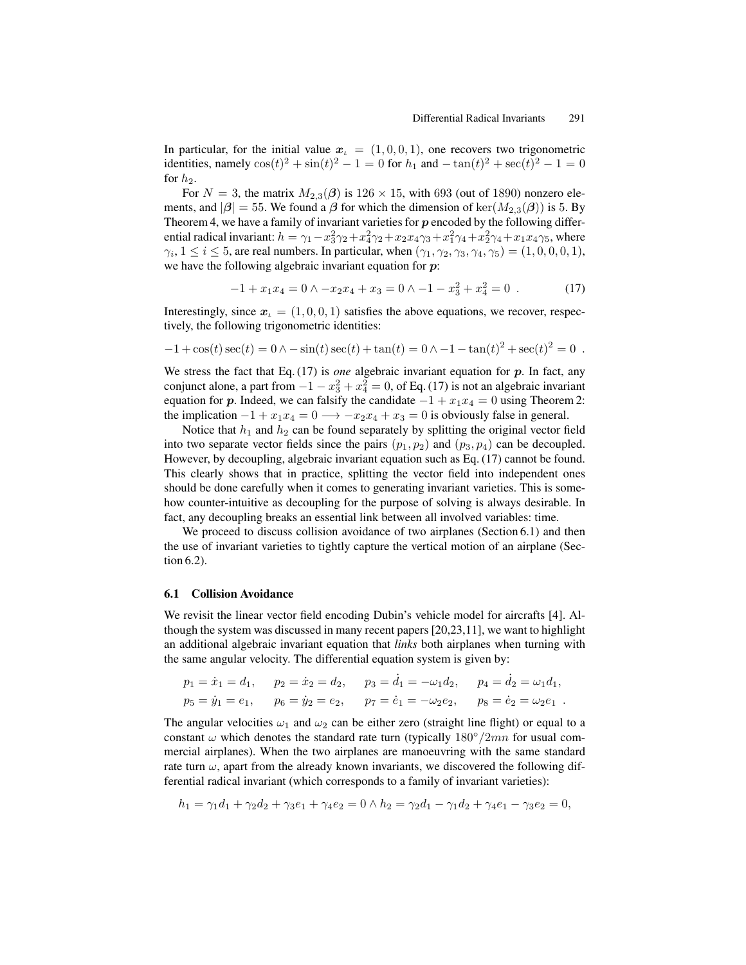In particular, for the initial value  $x_i = (1, 0, 0, 1)$ , one recovers two trigonometric identities, namely  $cos(t)^2 + sin(t)^2 - 1 = 0$  for  $h_1$  and  $- tan(t)^2 + sec(t)^2 - 1 = 0$ for  $h_2$ .

For  $N = 3$ , the matrix  $M_{2,3}(\beta)$  is  $126 \times 15$ , with 693 (out of 1890) nonzero elements, and  $|\beta| = 55$ . We found a  $\beta$  for which the dimension of ker $(M_{2,3}(\beta))$  is 5. By Theorem 4, we have a family of invariant varieties for  $p$  encoded by the following differential radical invariant:  $h = \gamma_1 - x_3^2 \gamma_2 + x_4^2 \gamma_2 + x_2 x_4 \gamma_3 + x_1^2 \gamma_4 + x_2^2 \gamma_4 + x_1 x_4 \gamma_5$ , where  $\gamma_i$ ,  $1 \le i \le 5$ , are real numbers. In particular, when  $(\gamma_1, \gamma_2, \gamma_3, \gamma_4, \gamma_5) = (1, 0, 0, 0, 1)$ , we have the following algebraic invariant equation for  $p$ :

$$
-1 + x_1 x_4 = 0 \land -x_2 x_4 + x_3 = 0 \land -1 - x_3^2 + x_4^2 = 0 . \tag{17}
$$

Interestingly, since  $x_i = (1, 0, 0, 1)$  satisfies the above equations, we recover, respectively, the following trigonometric identities:

$$
-1+\cos(t)\sec(t) = 0 \wedge -\sin(t)\sec(t) + \tan(t) = 0 \wedge -1 - \tan(t)^{2} + \sec(t)^{2} = 0.
$$

We stress the fact that Eq. (17) is *one* algebraic invariant equation for p. In fact, any conjunct alone, a part from  $-1 - x_3^2 + x_4^2 = 0$ , of Eq. (17) is not an algebraic invariant equation for p. Indeed, we can falsify the candidate  $-1 + x_1x_4 = 0$  using Theorem 2: the implication  $-1 + x_1x_4 = 0 \rightarrow -x_2x_4 + x_3 = 0$  is obviously false in general.

Notice that  $h_1$  and  $h_2$  can be found separately by splitting the original vector field into two separate vector fields since the pairs  $(p_1, p_2)$  and  $(p_3, p_4)$  can be decoupled. However, by decoupling, algebraic invariant equation such as Eq. (17) cannot be found. This clearly shows that in practice, splitting the vector field into independent ones should be done carefully when it comes to generating invariant varieties. This is somehow counter-intuitive as decoupling for the purpose of solving is always desirable. In fact, any decoupling breaks an essential link between all involved variables: time.

We proceed to discuss collision avoidance of two airplanes (Section 6.1) and then the use of invariant varieties to tightly capture the vertical motion of an airplane (Section 6.2).

### 6.1 Collision Avoidance

We revisit the linear vector field encoding Dubin's vehicle model for aircrafts [4]. Although the system was discussed in many recent papers [20,23,11], we want to highlight an additional algebraic invariant equation that *links* both airplanes when turning with the same angular velocity. The differential equation system is given by:

$$
p_1 = \dot{x}_1 = d_1
$$
,  $p_2 = \dot{x}_2 = d_2$ ,  $p_3 = \dot{d}_1 = -\omega_1 d_2$ ,  $p_4 = \dot{d}_2 = \omega_1 d_1$ ,  
\n $p_5 = \dot{y}_1 = e_1$ ,  $p_6 = \dot{y}_2 = e_2$ ,  $p_7 = \dot{e}_1 = -\omega_2 e_2$ ,  $p_8 = \dot{e}_2 = \omega_2 e_1$ .

The angular velocities  $\omega_1$  and  $\omega_2$  can be either zero (straight line flight) or equal to a constant  $\omega$  which denotes the standard rate turn (typically 180°/2mn for usual commercial airplanes). When the two airplanes are manoeuvring with the same standard rate turn  $\omega$ , apart from the already known invariants, we discovered the following differential radical invariant (which corresponds to a family of invariant varieties):

$$
h_1 = \gamma_1 d_1 + \gamma_2 d_2 + \gamma_3 e_1 + \gamma_4 e_2 = 0 \wedge h_2 = \gamma_2 d_1 - \gamma_1 d_2 + \gamma_4 e_1 - \gamma_3 e_2 = 0,
$$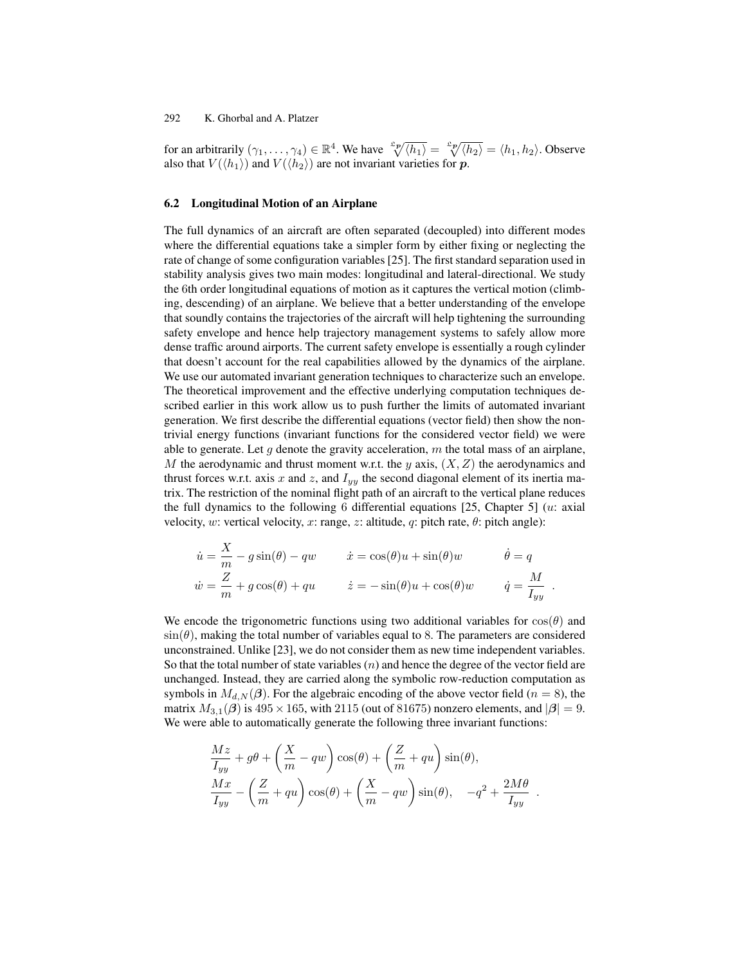for an arbitrarily  $(\gamma_1,\ldots,\gamma_4) \in \mathbb{R}^4$ . We have  $\sqrt[2p]{\langle h_1 \rangle} = \sqrt[2p]{\langle h_2 \rangle} = \langle h_1, h_2 \rangle$ . Observe also that  $V(\langle h_1 \rangle)$  and  $V(\langle h_2 \rangle)$  are not invariant varieties for p.

### 6.2 Longitudinal Motion of an Airplane

The full dynamics of an aircraft are often separated (decoupled) into different modes where the differential equations take a simpler form by either fixing or neglecting the rate of change of some configuration variables [25]. The first standard separation used in stability analysis gives two main modes: longitudinal and lateral-directional. We study the 6th order longitudinal equations of motion as it captures the vertical motion (climbing, descending) of an airplane. We believe that a better understanding of the envelope that soundly contains the trajectories of the aircraft will help tightening the surrounding safety envelope and hence help trajectory management systems to safely allow more dense traffic around airports. The current safety envelope is essentially a rough cylinder that doesn't account for the real capabilities allowed by the dynamics of the airplane. We use our automated invariant generation techniques to characterize such an envelope. The theoretical improvement and the effective underlying computation techniques described earlier in this work allow us to push further the limits of automated invariant generation. We first describe the differential equations (vector field) then show the nontrivial energy functions (invariant functions for the considered vector field) we were able to generate. Let  $g$  denote the gravity acceleration,  $m$  the total mass of an airplane, M the aerodynamic and thrust moment w.r.t. the y axis,  $(X, Z)$  the aerodynamics and thrust forces w.r.t. axis x and z, and  $I_{yy}$  the second diagonal element of its inertia matrix. The restriction of the nominal flight path of an aircraft to the vertical plane reduces the full dynamics to the following 6 differential equations [25, Chapter 5] (u: axial velocity, w: vertical velocity, x: range, z: altitude, q: pitch rate,  $\theta$ : pitch angle):

$$
\dot{u} = \frac{X}{m} - g\sin(\theta) - qu \qquad \dot{x} = \cos(\theta)u + \sin(\theta)w \qquad \dot{\theta} = q
$$
  

$$
\dot{w} = \frac{Z}{m} + g\cos(\theta) + qu \qquad \dot{z} = -\sin(\theta)u + \cos(\theta)w \qquad \dot{q} = \frac{M}{I_{yy}}.
$$

We encode the trigonometric functions using two additional variables for  $cos(\theta)$  and  $\sin(\theta)$ , making the total number of variables equal to 8. The parameters are considered unconstrained. Unlike [23], we do not consider them as new time independent variables. So that the total number of state variables  $(n)$  and hence the degree of the vector field are unchanged. Instead, they are carried along the symbolic row-reduction computation as symbols in  $M_{d,N}(\beta)$ . For the algebraic encoding of the above vector field ( $n = 8$ ), the matrix  $M_{3,1}(\beta)$  is  $495 \times 165$ , with 2115 (out of 81675) nonzero elements, and  $|\beta| = 9$ . We were able to automatically generate the following three invariant functions:

$$
\frac{Mz}{I_{yy}} + g\theta + \left(\frac{X}{m} - qw\right)\cos(\theta) + \left(\frac{Z}{m} + qu\right)\sin(\theta),
$$
  

$$
\frac{Mx}{I_{yy}} - \left(\frac{Z}{m} + qu\right)\cos(\theta) + \left(\frac{X}{m} - qu\right)\sin(\theta), \quad -q^2 + \frac{2M\theta}{I_{yy}}
$$

.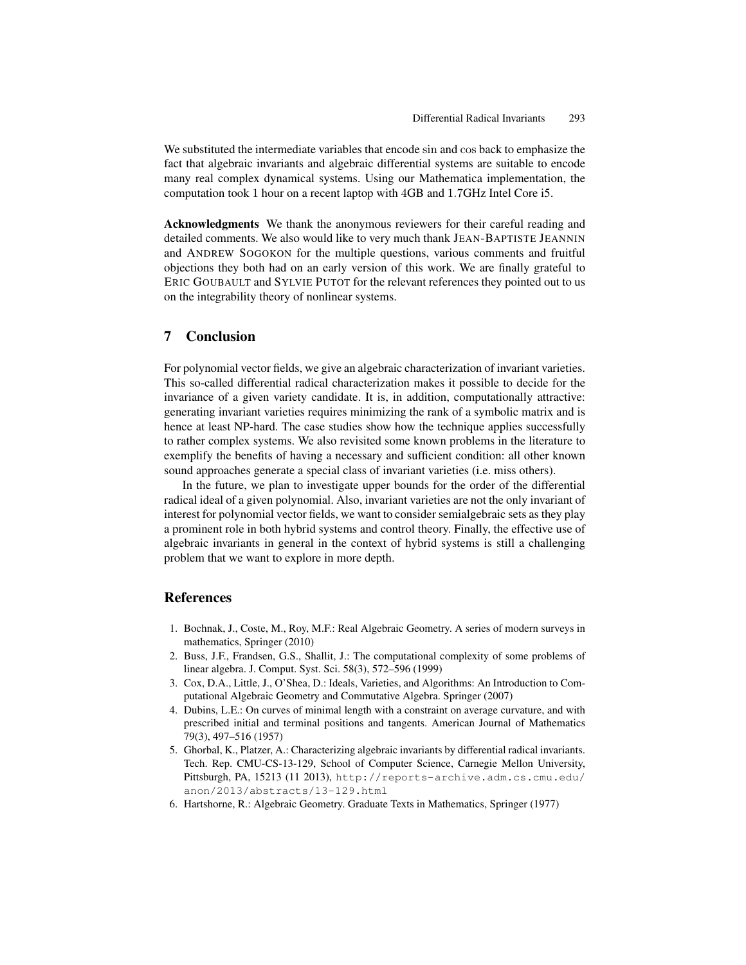We substituted the intermediate variables that encode sin and cos back to emphasize the fact that algebraic invariants and algebraic differential systems are suitable to encode many real complex dynamical systems. Using our Mathematica implementation, the computation took 1 hour on a recent laptop with 4GB and 1.7GHz Intel Core i5.

Acknowledgments We thank the anonymous reviewers for their careful reading and detailed comments. We also would like to very much thank JEAN-BAPTISTE JEANNIN and ANDREW SOGOKON for the multiple questions, various comments and fruitful objections they both had on an early version of this work. We are finally grateful to ERIC GOUBAULT and SYLVIE PUTOT for the relevant references they pointed out to us on the integrability theory of nonlinear systems.

### 7 Conclusion

For polynomial vector fields, we give an algebraic characterization of invariant varieties. This so-called differential radical characterization makes it possible to decide for the invariance of a given variety candidate. It is, in addition, computationally attractive: generating invariant varieties requires minimizing the rank of a symbolic matrix and is hence at least NP-hard. The case studies show how the technique applies successfully to rather complex systems. We also revisited some known problems in the literature to exemplify the benefits of having a necessary and sufficient condition: all other known sound approaches generate a special class of invariant varieties (i.e. miss others).

In the future, we plan to investigate upper bounds for the order of the differential radical ideal of a given polynomial. Also, invariant varieties are not the only invariant of interest for polynomial vector fields, we want to consider semialgebraic sets as they play a prominent role in both hybrid systems and control theory. Finally, the effective use of algebraic invariants in general in the context of hybrid systems is still a challenging problem that we want to explore in more depth.

## **References**

- 1. Bochnak, J., Coste, M., Roy, M.F.: Real Algebraic Geometry. A series of modern surveys in mathematics, Springer (2010)
- 2. Buss, J.F., Frandsen, G.S., Shallit, J.: The computational complexity of some problems of linear algebra. J. Comput. Syst. Sci. 58(3), 572–596 (1999)
- 3. Cox, D.A., Little, J., O'Shea, D.: Ideals, Varieties, and Algorithms: An Introduction to Computational Algebraic Geometry and Commutative Algebra. Springer (2007)
- 4. Dubins, L.E.: On curves of minimal length with a constraint on average curvature, and with prescribed initial and terminal positions and tangents. American Journal of Mathematics 79(3), 497–516 (1957)
- 5. Ghorbal, K., Platzer, A.: Characterizing algebraic invariants by differential radical invariants. Tech. Rep. CMU-CS-13-129, School of Computer Science, Carnegie Mellon University, Pittsburgh, PA, 15213 (11 2013), http://reports-archive.adm.cs.cmu.edu/ anon/2013/abstracts/13-129.html
- 6. Hartshorne, R.: Algebraic Geometry. Graduate Texts in Mathematics, Springer (1977)